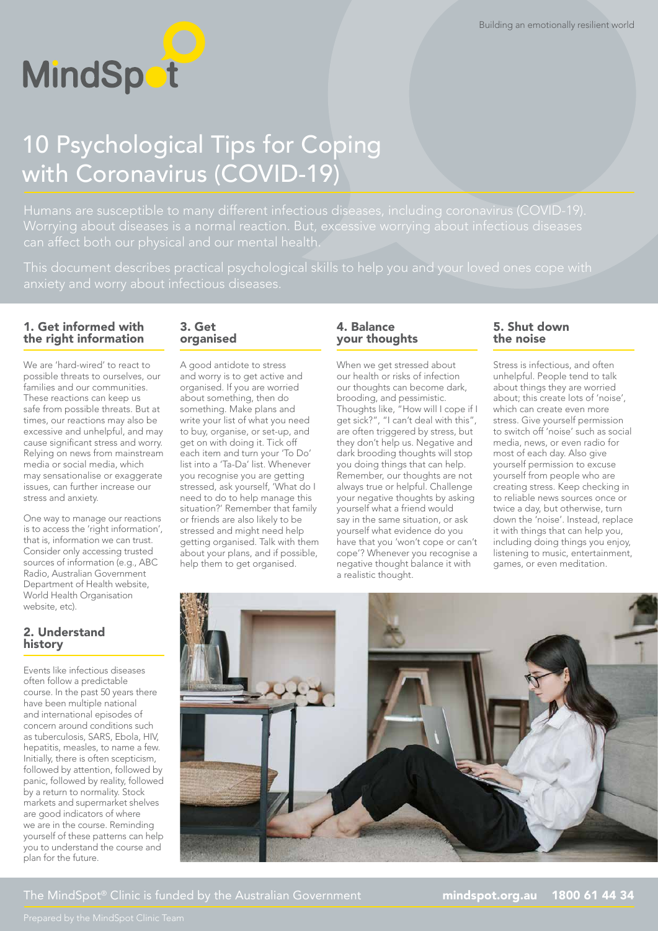

# 10 Psychological Tips for Coping with Coronavirus (COVID-19)

#### 1. Get informed with the right information

We are 'hard-wired' to react to possible threats to ourselves, our families and our communities. These reactions can keep us safe from possible threats. But at times, our reactions may also be excessive and unhelpful, and may cause significant stress and worry. Relying on news from mainstream media or social media, which may sensationalise or exaggerate issues, can further increase our stress and anxiety.

One way to manage our reactions is to access the 'right information', that is, information we can trust. Consider only accessing trusted sources of information (e.g., ABC Radio, Australian Government Department of Health website, World Health Organisation website, etc).

#### 2. Understand history

Events like infectious diseases often follow a predictable course. In the past 50 years there have been multiple national and international episodes of concern around conditions such as tuberculosis, SARS, Ebola, HIV, hepatitis, measles, to name a few. Initially, there is often scepticism, followed by attention, followed by panic, followed by reality, followed by a return to normality. Stock markets and supermarket shelves are good indicators of where we are in the course. Reminding yourself of these patterns can help you to understand the course and plan for the future.

#### 3. Get organised

A good antidote to stress and worry is to get active and organised. If you are worried about something, then do something. Make plans and write your list of what you need to buy, organise, or set-up, and get on with doing it. Tick off each item and turn your 'To Do' list into a 'Ta-Da' list. Whenever you recognise you are getting stressed, ask yourself, 'What do I need to do to help manage this situation?' Remember that family or friends are also likely to be stressed and might need help getting organised. Talk with them about your plans, and if possible, help them to get organised.

## 4. Balance your thoughts

When we get stressed about our health or risks of infection our thoughts can become dark, brooding, and pessimistic. Thoughts like, "How will I cope if I get sick?", "I can't deal with this", are often triggered by stress, but they don't help us. Negative and dark brooding thoughts will stop you doing things that can help. Remember, our thoughts are not always true or helpful. Challenge your negative thoughts by asking yourself what a friend would say in the same situation, or ask yourself what evidence do you have that you 'won't cope or can't cope'? Whenever you recognise a negative thought balance it with a realistic thought.

#### 5. Shut down the noise

Stress is infectious, and often unhelpful. People tend to talk about things they are worried about; this create lots of 'noise', which can create even more stress. Give yourself permission to switch off 'noise' such as social media, news, or even radio for most of each day. Also give yourself permission to excuse yourself from people who are creating stress. Keep checking in to reliable news sources once or twice a day, but otherwise, turn down the 'noise'. Instead, replace it with things that can help you, including doing things you enjoy, listening to music, entertainment, games, or even meditation.



The MindSpot<sup>®</sup> Clinic is funded by the Australian Government **[mindspot.org.au](http://mindspot.org.au) 1800 61 44 34**